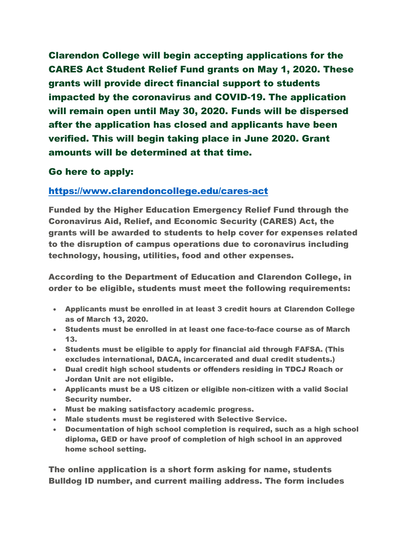Clarendon College will begin accepting applications for the CARES Act Student Relief Fund grants on May 1, 2020. These grants will provide direct financial support to students impacted by the coronavirus and COVID-19. The application will remain open until May 30, 2020. Funds will be dispersed after the application has closed and applicants have been verified. This will begin taking place in June 2020. Grant amounts will be determined at that time.

## Go here to apply:

## <https://www.clarendoncollege.edu/cares-act>

Funded by the Higher Education Emergency Relief Fund through the Coronavirus Aid, Relief, and Economic Security (CARES) Act, the grants will be awarded to students to help cover for expenses related to the disruption of campus operations due to coronavirus including technology, housing, utilities, food and other expenses.

According to the Department of Education and Clarendon College, in order to be eligible, students must meet the following requirements:

- Applicants must be enrolled in at least 3 credit hours at Clarendon College as of March 13, 2020.
- Students must be enrolled in at least one face-to-face course as of March 13.
- Students must be eligible to apply for financial aid through FAFSA. (This excludes international, DACA, incarcerated and dual credit students.)
- Dual credit high school students or offenders residing in TDCJ Roach or Jordan Unit are not eligible.
- Applicants must be a US citizen or eligible non-citizen with a valid Social Security number.
- Must be making satisfactory academic progress.
- Male students must be registered with Selective Service.
- Documentation of high school completion is required, such as a high school diploma, GED or have proof of completion of high school in an approved home school setting.

The online application is a short form asking for name, students Bulldog ID number, and current mailing address. The form includes